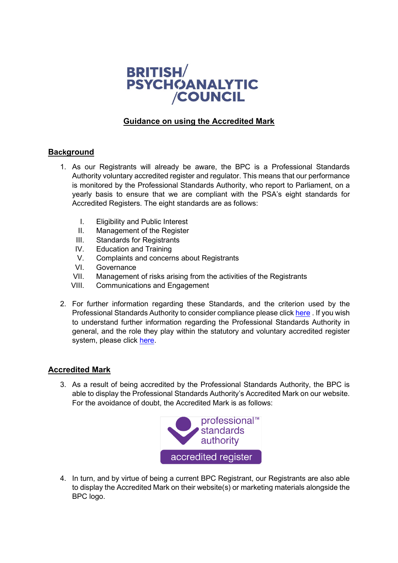

## **Guidance on using the Accredited Mark**

## **Background**

- 1. As our Registrants will already be aware, the BPC is a Professional Standards Authority voluntary accredited register and regulator. This means that our performance is monitored by the Professional Standards Authority, who report to Parliament, on a yearly basis to ensure that we are compliant with the PSA's eight standards for Accredited Registers. The eight standards are as follows:
	- I. Eligibility and Public Interest
	- II. Management of the Register
	- III. Standards for Registrants
	- IV. Education and Training
	- V. Complaints and concerns about Registrants
	- VI. Governance
	- VII. Management of risks arising from the activities of the Registrants
	- VIII. Communications and Engagement
- 2. For further information regarding these Standards, and the criterion used by the Professional Standards Authority to consider compliance please click [here](http://www.professionalstandards.org.uk/docs/default-source/accredited-registers/standards-for-accredited-registers/standards-for-accredited-registers.pdf?sfvrsn=cc2c7f20_6) . If you wish to understand further information regarding the Professional Standards Authority in general, and the role they play within the statutory and voluntary accredited register system, please click [here.](http://www.professionalstandards.org.uk/what-we-do/accredited-registers)

## **Accredited Mark**

3. As a result of being accredited by the Professional Standards Authority, the BPC is able to display the Professional Standards Authority's Accredited Mark on our website. For the avoidance of doubt, the Accredited Mark is as follows:



4. In turn, and by virtue of being a current BPC Registrant, our Registrants are also able to display the Accredited Mark on their website(s) or marketing materials alongside the BPC logo.